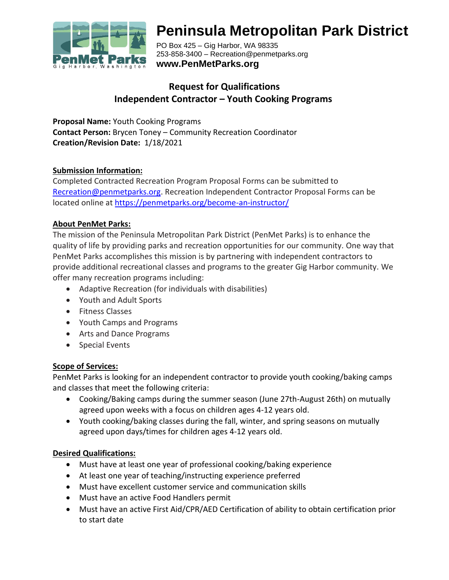

# **Peninsula Metropolitan Park District**

PO Box 425 – Gig Harbor, WA 98335 253-858-3400 – Recreation@penmetparks.org **www.PenMetParks.org**

# **Request for Qualifications Independent Contractor – Youth Cooking Programs**

**Proposal Name:** Youth Cooking Programs **Contact Person:** Brycen Toney – Community Recreation Coordinator **Creation/Revision Date:** 1/18/2021

#### **Submission Information:**

Completed Contracted Recreation Program Proposal Forms can be submitted to [Recreation@penmetparks.org.](mailto:Recreation@penmetparks.org) Recreation Independent Contractor Proposal Forms can be located online at<https://penmetparks.org/become-an-instructor/>

#### **About PenMet Parks:**

The mission of the Peninsula Metropolitan Park District (PenMet Parks) is to enhance the quality of life by providing parks and recreation opportunities for our community. One way that PenMet Parks accomplishes this mission is by partnering with independent contractors to provide additional recreational classes and programs to the greater Gig Harbor community. We offer many recreation programs including:

- Adaptive Recreation (for individuals with disabilities)
- Youth and Adult Sports
- Fitness Classes
- Youth Camps and Programs
- Arts and Dance Programs
- Special Events

#### **Scope of Services:**

PenMet Parks is looking for an independent contractor to provide youth cooking/baking camps and classes that meet the following criteria:

- Cooking/Baking camps during the summer season (June 27th-August 26th) on mutually agreed upon weeks with a focus on children ages 4-12 years old.
- Youth cooking/baking classes during the fall, winter, and spring seasons on mutually agreed upon days/times for children ages 4-12 years old.

#### **Desired Qualifications:**

- Must have at least one year of professional cooking/baking experience
- At least one year of teaching/instructing experience preferred
- Must have excellent customer service and communication skills
- Must have an active Food Handlers permit
- Must have an active First Aid/CPR/AED Certification of ability to obtain certification prior to start date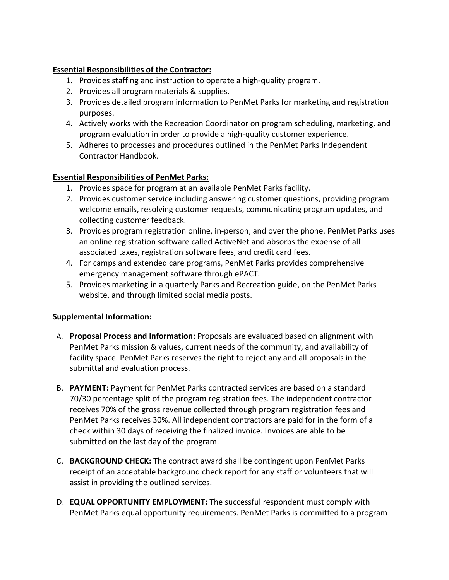## **Essential Responsibilities of the Contractor:**

- 1. Provides staffing and instruction to operate a high-quality program.
- 2. Provides all program materials & supplies.
- 3. Provides detailed program information to PenMet Parks for marketing and registration purposes.
- 4. Actively works with the Recreation Coordinator on program scheduling, marketing, and program evaluation in order to provide a high-quality customer experience.
- 5. Adheres to processes and procedures outlined in the PenMet Parks Independent Contractor Handbook.

## **Essential Responsibilities of PenMet Parks:**

- 1. Provides space for program at an available PenMet Parks facility.
- 2. Provides customer service including answering customer questions, providing program welcome emails, resolving customer requests, communicating program updates, and collecting customer feedback.
- 3. Provides program registration online, in-person, and over the phone. PenMet Parks uses an online registration software called ActiveNet and absorbs the expense of all associated taxes, registration software fees, and credit card fees.
- 4. For camps and extended care programs, PenMet Parks provides comprehensive emergency management software through ePACT.
- 5. Provides marketing in a quarterly Parks and Recreation guide, on the PenMet Parks website, and through limited social media posts.

#### **Supplemental Information:**

- A. **Proposal Process and Information:** Proposals are evaluated based on alignment with PenMet Parks mission & values, current needs of the community, and availability of facility space. PenMet Parks reserves the right to reject any and all proposals in the submittal and evaluation process.
- B. **PAYMENT:** Payment for PenMet Parks contracted services are based on a standard 70/30 percentage split of the program registration fees. The independent contractor receives 70% of the gross revenue collected through program registration fees and PenMet Parks receives 30%. All independent contractors are paid for in the form of a check within 30 days of receiving the finalized invoice. Invoices are able to be submitted on the last day of the program.
- C. **BACKGROUND CHECK:** The contract award shall be contingent upon PenMet Parks receipt of an acceptable background check report for any staff or volunteers that will assist in providing the outlined services.
- D. **EQUAL OPPORTUNITY EMPLOYMENT:** The successful respondent must comply with PenMet Parks equal opportunity requirements. PenMet Parks is committed to a program